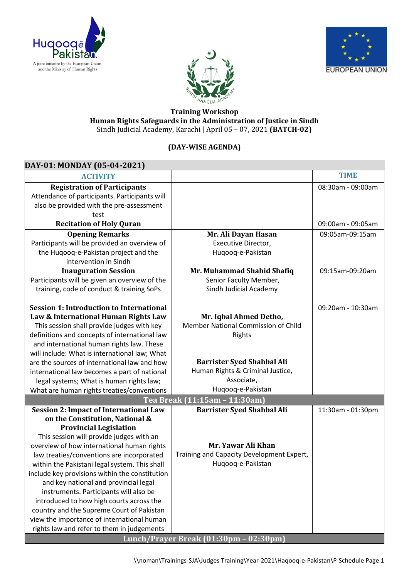





## **Training Workshop Human Rights Safeguards in the Administration of Justice in Sindh** Sindh Judicial Academy, Karachi | April 05 – 07, 2021 **(BATCH-02)**

## **(DAY-WISE AGENDA)**

| DAY-01: MONDAY (05-04-2021)                     |                                           |                   |  |  |
|-------------------------------------------------|-------------------------------------------|-------------------|--|--|
| <b>ACTIVITY</b>                                 |                                           | <b>TIME</b>       |  |  |
| <b>Registration of Participants</b>             |                                           | 08:30am - 09:00am |  |  |
| Attendance of participants. Participants will   |                                           |                   |  |  |
| also be provided with the pre-assessment        |                                           |                   |  |  |
| test                                            |                                           |                   |  |  |
| <b>Recitation of Holy Quran</b>                 |                                           | 09:00am - 09:05am |  |  |
| <b>Opening Remarks</b>                          | Mr. Ali Dayan Hasan                       | 09:05am-09:15am   |  |  |
| Participants will be provided an overview of    | Executive Director,                       |                   |  |  |
| the Huqooq-e-Pakistan project and the           | Huqooq-e-Pakistan                         |                   |  |  |
| intervention in Sindh                           |                                           |                   |  |  |
| <b>Inauguration Session</b>                     | Mr. Muhammad Shahid Shafiq                | 09:15am-09:20am   |  |  |
| Participants will be given an overview of the   | Senior Faculty Member,                    |                   |  |  |
| training, code of conduct & training SoPs       | Sindh Judicial Academy                    |                   |  |  |
|                                                 |                                           |                   |  |  |
| <b>Session 1: Introduction to International</b> |                                           | 09:20am - 10:30am |  |  |
| Law & International Human Rights Law            | Mr. Iqbal Ahmed Detho,                    |                   |  |  |
| This session shall provide judges with key      | Member National Commission of Child       |                   |  |  |
| definitions and concepts of international law   | Rights                                    |                   |  |  |
| and international human rights law. These       |                                           |                   |  |  |
| will include: What is international law; What   |                                           |                   |  |  |
| are the sources of international law and how    | <b>Barrister Syed Shahbal Ali</b>         |                   |  |  |
| international law becomes a part of national    | Human Rights & Criminal Justice,          |                   |  |  |
| legal systems; What is human rights law;        | Associate,                                |                   |  |  |
| What are human rights treaties/conventions      | Huqooq-e-Pakistan                         |                   |  |  |
|                                                 | Tea Break (11:15am - 11:30am)             |                   |  |  |
| <b>Session 2: Impact of International Law</b>   | <b>Barrister Syed Shahbal Ali</b>         | 11:30am - 01:30pm |  |  |
| on the Constitution, National &                 |                                           |                   |  |  |
| <b>Provincial Legislation</b>                   |                                           |                   |  |  |
| This session will provide judges with an        |                                           |                   |  |  |
| overview of how international human rights      | Mr. Yawar Ali Khan                        |                   |  |  |
| law treaties/conventions are incorporated       | Training and Capacity Development Expert, |                   |  |  |
| within the Pakistani legal system. This shall   | Huqooq-e-Pakistan                         |                   |  |  |
| include key provisions within the constitution  |                                           |                   |  |  |
| and key national and provincial legal           |                                           |                   |  |  |
| instruments. Participants will also be          |                                           |                   |  |  |
| introduced to how high courts across the        |                                           |                   |  |  |
| country and the Supreme Court of Pakistan       |                                           |                   |  |  |
| view the importance of international human      |                                           |                   |  |  |
| rights law and refer to them in judgements      |                                           |                   |  |  |
| Lunch/Prayer Break (01:30pm - 02:30pm)          |                                           |                   |  |  |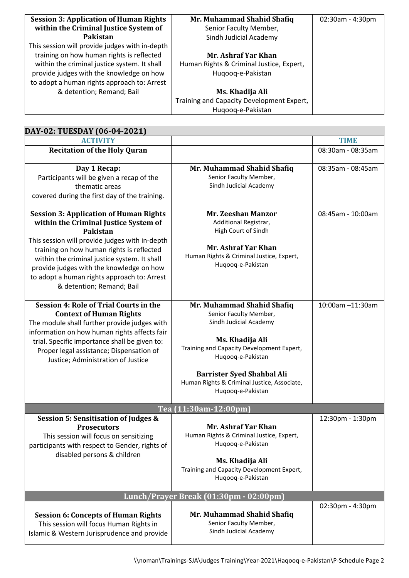| <b>Session 3: Application of Human Rights</b>  | Mr. Muhammad Shahid Shafiq                | 02:30am - 4:30pm |
|------------------------------------------------|-------------------------------------------|------------------|
| within the Criminal Justice System of          | Senior Faculty Member,                    |                  |
| Pakistan                                       | Sindh Judicial Academy                    |                  |
| This session will provide judges with in-depth |                                           |                  |
| training on how human rights is reflected      | Mr. Ashraf Yar Khan                       |                  |
| within the criminal justice system. It shall   | Human Rights & Criminal Justice, Expert,  |                  |
| provide judges with the knowledge on how       | Hugoog-e-Pakistan                         |                  |
| to adopt a human rights approach to: Arrest    |                                           |                  |
| & detention; Remand; Bail                      | Ms. Khadija Ali                           |                  |
|                                                | Training and Capacity Development Expert, |                  |
|                                                | Hugoog-e-Pakistan                         |                  |

| DAY-02: TUESDAY (06-04-2021)                                                                                                                                                                                                                                                                                                                                              |                                                                                                                                                                                                                                                                              |                   |  |
|---------------------------------------------------------------------------------------------------------------------------------------------------------------------------------------------------------------------------------------------------------------------------------------------------------------------------------------------------------------------------|------------------------------------------------------------------------------------------------------------------------------------------------------------------------------------------------------------------------------------------------------------------------------|-------------------|--|
| <b>ACTIVITY</b>                                                                                                                                                                                                                                                                                                                                                           |                                                                                                                                                                                                                                                                              | <b>TIME</b>       |  |
| <b>Recitation of the Holy Quran</b>                                                                                                                                                                                                                                                                                                                                       |                                                                                                                                                                                                                                                                              | 08:30am - 08:35am |  |
| Day 1 Recap:<br>Participants will be given a recap of the<br>thematic areas<br>covered during the first day of the training.                                                                                                                                                                                                                                              | Mr. Muhammad Shahid Shafiq<br>Senior Faculty Member,<br>Sindh Judicial Academy                                                                                                                                                                                               | 08:35am - 08:45am |  |
| <b>Session 3: Application of Human Rights</b><br>within the Criminal Justice System of<br>Pakistan<br>This session will provide judges with in-depth<br>training on how human rights is reflected<br>within the criminal justice system. It shall<br>provide judges with the knowledge on how<br>to adopt a human rights approach to: Arrest<br>& detention; Remand; Bail | <b>Mr. Zeeshan Manzor</b><br>Additional Registrar,<br>High Court of Sindh<br>Mr. Ashraf Yar Khan<br>Human Rights & Criminal Justice, Expert,<br>Huqooq-e-Pakistan                                                                                                            | 08:45am - 10:00am |  |
| <b>Session 4: Role of Trial Courts in the</b><br><b>Context of Human Rights</b><br>The module shall further provide judges with<br>information on how human rights affects fair<br>trial. Specific importance shall be given to:<br>Proper legal assistance; Dispensation of<br>Justice; Administration of Justice                                                        | Mr. Muhammad Shahid Shafiq<br>Senior Faculty Member,<br>Sindh Judicial Academy<br>Ms. Khadija Ali<br>Training and Capacity Development Expert,<br>Huqooq-e-Pakistan<br><b>Barrister Syed Shahbal Ali</b><br>Human Rights & Criminal Justice, Associate,<br>Huqooq-e-Pakistan | 10:00am -11:30am  |  |
|                                                                                                                                                                                                                                                                                                                                                                           | Tea (11:30am-12:00pm)                                                                                                                                                                                                                                                        |                   |  |
| Session 5: Sensitisation of Judges &<br><b>Prosecutors</b><br>This session will focus on sensitizing<br>participants with respect to Gender, rights of<br>disabled persons & children                                                                                                                                                                                     | Mr. Ashraf Yar Khan<br>Human Rights & Criminal Justice, Expert,<br>Hugoog-e-Pakistan<br>Ms. Khadija Ali<br>Training and Capacity Development Expert,<br>Huqooq-e-Pakistan                                                                                                    | 12:30pm - 1:30pm  |  |
| Lunch/Prayer Break (01:30pm - 02:00pm)                                                                                                                                                                                                                                                                                                                                    |                                                                                                                                                                                                                                                                              |                   |  |
| <b>Session 6: Concepts of Human Rights</b><br>This session will focus Human Rights in<br>Islamic & Western Jurisprudence and provide                                                                                                                                                                                                                                      | Mr. Muhammad Shahid Shafiq<br>Senior Faculty Member,<br>Sindh Judicial Academy                                                                                                                                                                                               | 02:30pm - 4:30pm  |  |